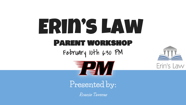# Erin's Law Parent workshop February 10th  $6:30$  PM





### **Presented by:**

**Roanie Taveras**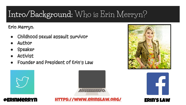# **Intro/Background:** Who is Erin Merryn?

Erin Merryn:

- Childhood sexual assault survivor
- **Author**
- Speaker
- **Activist**
- Founder and President of Erin's Law







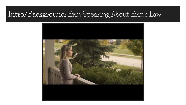### **Intro/Background:** Erin Speaking About Erin's Law

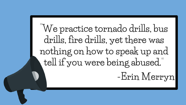**"We practice tornado drills, bus drills, fire drills, yet there was nothing on how to speak up and tell if you were being abused." -Erin Merryn**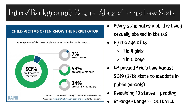# **Intro/Background:** Sexual Abuse/Erin's Law Stats

#### **CHILD VICTIMS OFTEN KNOW THE PERPETRATOR**

Among cases of child sexual abuse reported to law enforcement:



Every six minutes a child is being

sexually abused in the U.S

- By the age of 18:
	- $1$  in 4 girls
	- $1$  in 6 boys
- NY passed Erin's Law August 2019 (37th state to mandate in public schools)
- Remaining 13 states pending
	- Stranger Danger = OUTDATED!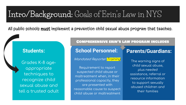### **Intro/Background:** Goals of Erin's Law in NYS

All public schools **must** implement a prevention child sexual abuse program that teaches.

#### **Students:**

Grades K-8 ageappropriate techniques to recognize child sexual abuse and tell a trusted adult

#### Comprehensive erin's law program includes

#### **School Personnel:**

Mandated Reporter Training

Requirement to report suspected child abuse or maltreatment when, in their professional capacity, they are presented with reasonable cause to suspect child abuse or maltreatment

#### **Parents/Guardians:**

The warning signs of child sexual abuse, plus needed assistance, referral or resource information to support sexually abused children and their families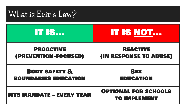## **What is Erin's Law?**

| <b>IT IS</b>                    | IT IS NOT                                          |
|---------------------------------|----------------------------------------------------|
| <b>PROACTIVE</b>                | <b>REACTIVE</b>                                    |
| (PREVENTION-FOCUSED)            | (IN RESPONSE TO ABUSE)                             |
| <b>BODY SAFETY &amp;</b>        | <b>SEX</b>                                         |
| <b>BOUNDARIES EDUCATION</b>     | <b>EDUCATION</b>                                   |
| <b>NYS MANDATE - EVERY YEAR</b> | <b>OPTIONAL FOR SCHOOLS</b><br><b>TO IMPLEMENT</b> |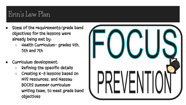### Erin's Law Plan

- Some of the requirements/grade band objectives for the lessons were already being met by:
	- Health Curriculum- grades 4th, 5th and 7th
- Curriculum development:
	- Refining the specific details
	- Creating K-8 lessons based on NYS resources, and Nassau BOCES summer curriculum writing team, to meet grade band objectives

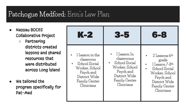#### **Patchogue Medford:** Erin's Law Plan

- Nassau BOCES Collaborative Project
	- Partnering districts created lessons and shared resources that were distributed across Long Island
- We tailored the program specifically for Pat-Med

| <b>K-2</b>                                                                                                                   | 3-5                                                                                                                         | 6-8                                                                                                                                        |
|------------------------------------------------------------------------------------------------------------------------------|-----------------------------------------------------------------------------------------------------------------------------|--------------------------------------------------------------------------------------------------------------------------------------------|
| 1 Lesson in the<br>classroom<br>School Social<br>Worker, School<br>Psych and<br>District Wide<br>Family Center<br>Clinicians | - 1 Lesson In<br>classrooms<br>School Social<br>Worker, School<br>Psych and<br>District Wide<br>Family Center<br>Clinicians | $2$ Lessons 6th<br>grade<br>1 Lesson 7-8th<br>School Social<br>Worker, School<br>Psych and<br>District Wide<br>Family Center<br>Clinicians |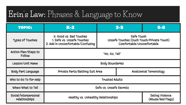# **Erin's Law:** Phrases & Language to Know

| <b>TOPIC:</b>                         | $K-2$                                                                                      | $3 - 5$                                                                              | $6 - 8$                              |  |
|---------------------------------------|--------------------------------------------------------------------------------------------|--------------------------------------------------------------------------------------|--------------------------------------|--|
| Types of Touches                      | K: Good Vs. Bad Touches<br>1: Safe vs. Unsafe Touches<br>2. Add in Uncomfortable/Confusing | Safe Touch<br>Unsafe Touches (Ouch Touch/Private Touch)<br>Comfortable/Uncomfortable |                                      |  |
| Action Plan/Steps to<br>Follow        | "No, Go, Tell"                                                                             |                                                                                      |                                      |  |
| Lesson/Unit Name                      | <b>Body Boundaries</b>                                                                     |                                                                                      |                                      |  |
| Body Part Language                    | Private Parts/Bathing Suit Area                                                            | Anatomical Terminology                                                               |                                      |  |
| Who to Go To for Help                 | Trusted Adults                                                                             |                                                                                      |                                      |  |
| When/What to Tell                     | Safe vs. Unsafe Secrets                                                                    |                                                                                      |                                      |  |
| Social/interpersonal<br>relationships | Healthy VS. Unhealthy Relationships                                                        |                                                                                      | Dating Violence<br>(Abuse/Red Flags) |  |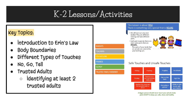## **K-2 Lessons/Activities**

#### Key Topics:

- introduction to Erin's Law
- **Body Boundaries**
- Different Types of Touches
- No, Go, Tell
- Trusted Adults
	- $\circ$  identifying at least 2 trusted adults



A bigger person should never touch your private body parts EXCEPT to keep you safe, clean and healthy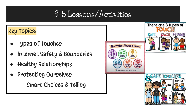## **3-5 Lessons/Activities**

#### Key Topics:

- Types of Touches
- internet Safety & Boundaries
- **Healthy Relationships**
- Protecting Ourselves
	- Smart Choices & Telling

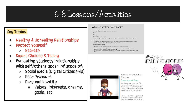## **6-8 Lessons/Activities**

#### Key Topics:

- **[Healthy & Unhealthy Relationships](https://docs.google.com/document/d/1LZSEcjG75oMwFzJDOUjQwL5bBJlYqC7CJF41L04Guts/edit?usp=sharing)**
- [Protect Yourself](https://docs.google.com/document/d/1UJmGNOa1VIXX2eboG38DuusS2erTTMro8ppolu5LqXA/edit?usp=sharing)
	- [Secrets](https://docs.google.com/document/d/1UJmGNOa1VIXX2eboG38DuusS2erTTMro8ppolu5LqXA/edit?usp=sharing)
- **[Smart Choices & Telling](https://docs.google.com/document/d/1mbrS9j59tIxU_jwJw3wAwrHiJMin0OxieYabFjMSXY8/edit?usp=sharing)**
- Evaluating students' relationships with self/others under influence of:
	- Social media (Digital Citizenship)
	- Peer Pressure
	- Personal identity
		- Values, interests, dreams, goals, etc.

#### What is a healthy relationship?

- Mutual respect. tuarrespect.<br>◆ Respect each other's values & boundaries.
- · Trust.
- $\cdot$  Honesty
- $\cdot$  The ability to compromise
- In a healthy relationship, each partner compromises a solution when there are problems.
- · Individuality
- Each person should be supportive of his/her partner wanting to pursue new hobbies or make new friends. Each person has a life outside of their relationship
- · Healthy communication
- · speak honestly and openly to avoid miscommunication. Problem solving fairly
- · Understanding your feelings. What do you do with your emotions when you feel them?
- · Anger, sadness, frustration, jealousy, insecurity All feelings are okay to have and to feel, they belong to you! It is all about what you do with them





#### Rule 3: Making Smart Choices

#### **Protect Yourself Rules**

You should never post your full name, address, phone number, or school name on a public profile! Can you think of other things that should always be kept private?

Imagine someone in a game chat or forum asked you for personal information - what should you do?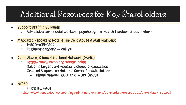## **Additional Resources for Key Stakeholders**

- Support Staff in Buildings
	- Administrators, social workers, psychologists, health teachers & counselors
- Mandated Reporters Hotline for Child Abuse & Maltreatment
	- $\circ$  1-800-635-1522
	- $\circ$  imminent danger?  $\rightarrow$  call 911
- Rape, Abuse, & Incest National Network (RAINN)
	- <https://www.rainn.org/about-rainn>
	- Nation's largest anti-sexual violence organization
	- Created & operates National Sexual Assault Hotline
		- Phone Number: 800-656-HOPE (4673)
- **NYSED** 
	- Erin's law FAQs:

<http://www.nysed.gov/common/nysed/files/programs/curriculum-instruction/erins-law-faqs.pdf>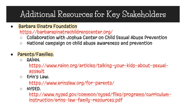## **Additional Resources for Key Stakeholders**

- **Barbara Sinatra Foundation** <https://barbarasinatrachildrenscenter.org/>
	- Collaboration with Joshua Center on Child Sexual Abuse Prevention
	- National campaign on child abuse awareness and prevention
- Parents/Families:
	- RAINN:

[https://www.rainn.org/articles/talking-your-kids-about-sexual](https://www.rainn.org/articles/talking-your-kids-about-sexual-assault)assault

 $\circ$  Erin's Law:

<https://www.erinslaw.org/for-parents/>

○ NYSED:

[http://www.nysed.gov/common/nysed/files/programs/curriculum](http://www.nysed.gov/common/nysed/files/programs/curriculum-instruction/erins-law-family-resources.pdf)instruction/erins-law-family-resources.pdf